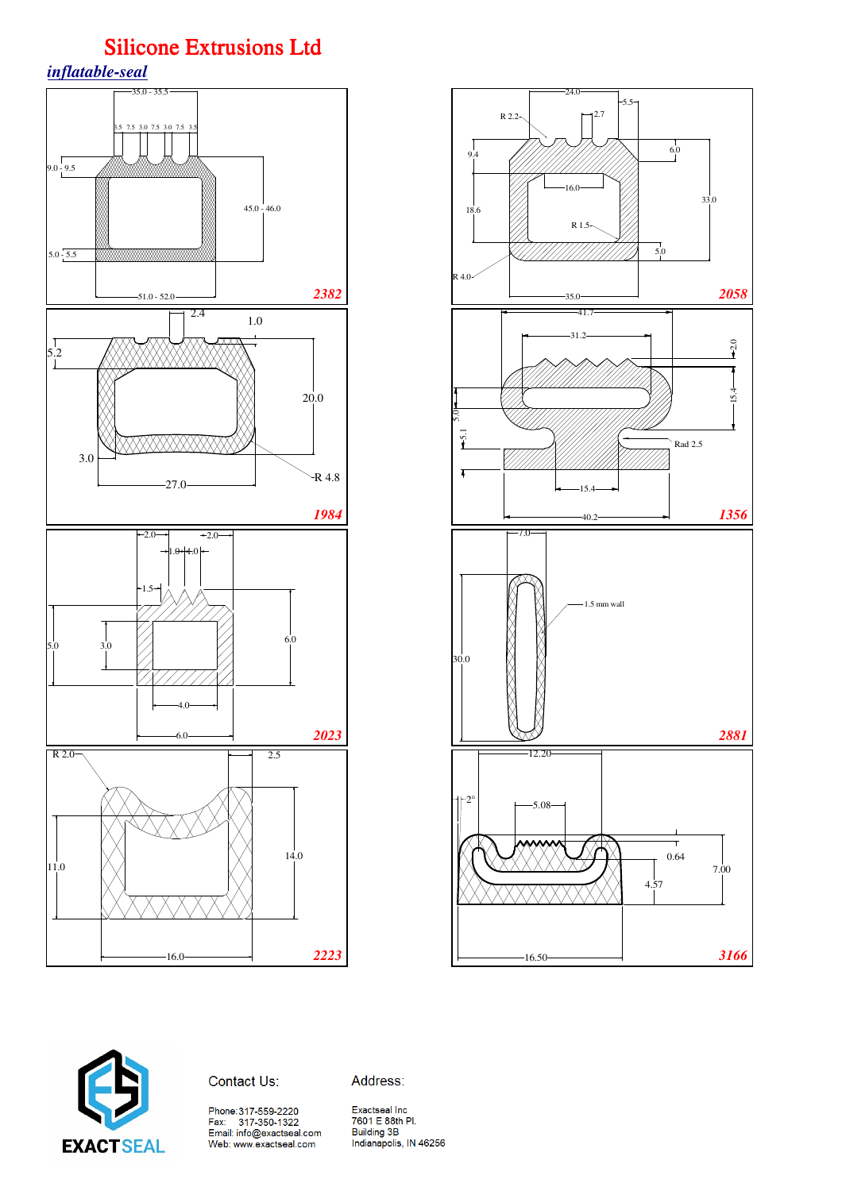





Contact Us:

Address:

Phone:317-559-2220<br>Fax: 317-350-1322<br>Email: info@exactseal.com<br>Web: www.exactseal.com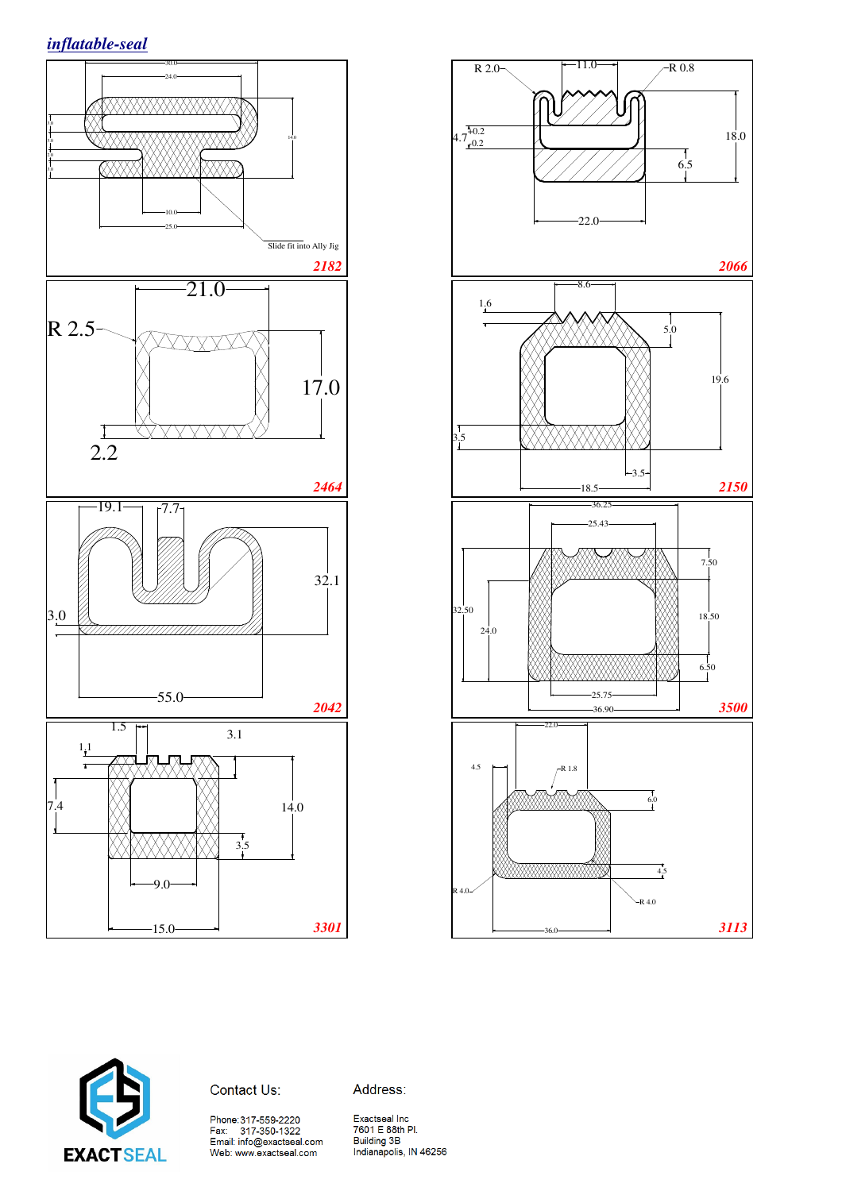





### Contact Us:

Phone:317-559-2220<br>Fax: 317-350-1322<br>Email: info@exactseal.com<br>Web: www.exactseal.com

Address: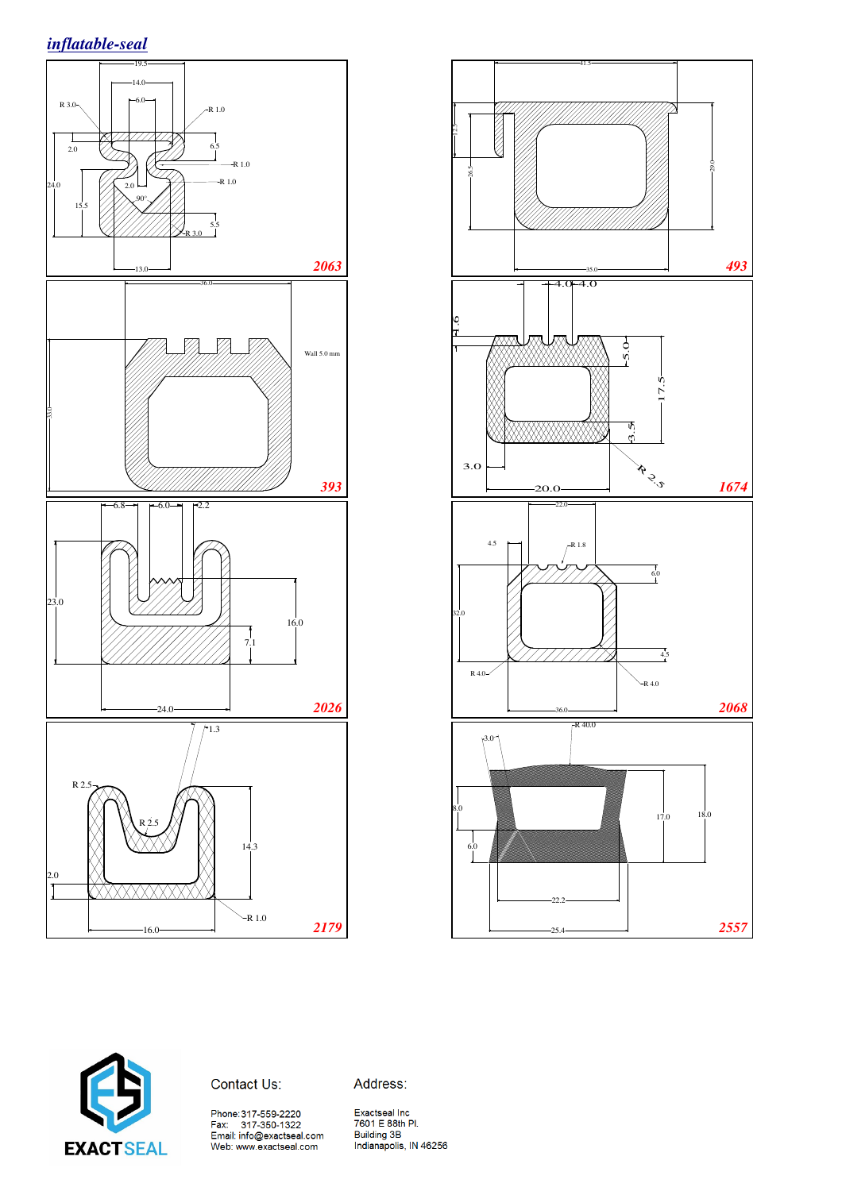





Contact Us:

Address:

Phone:317-559-2220<br>Fax: 317-350-1322<br>Email: info@exactseal.com<br>Web: www.exactseal.com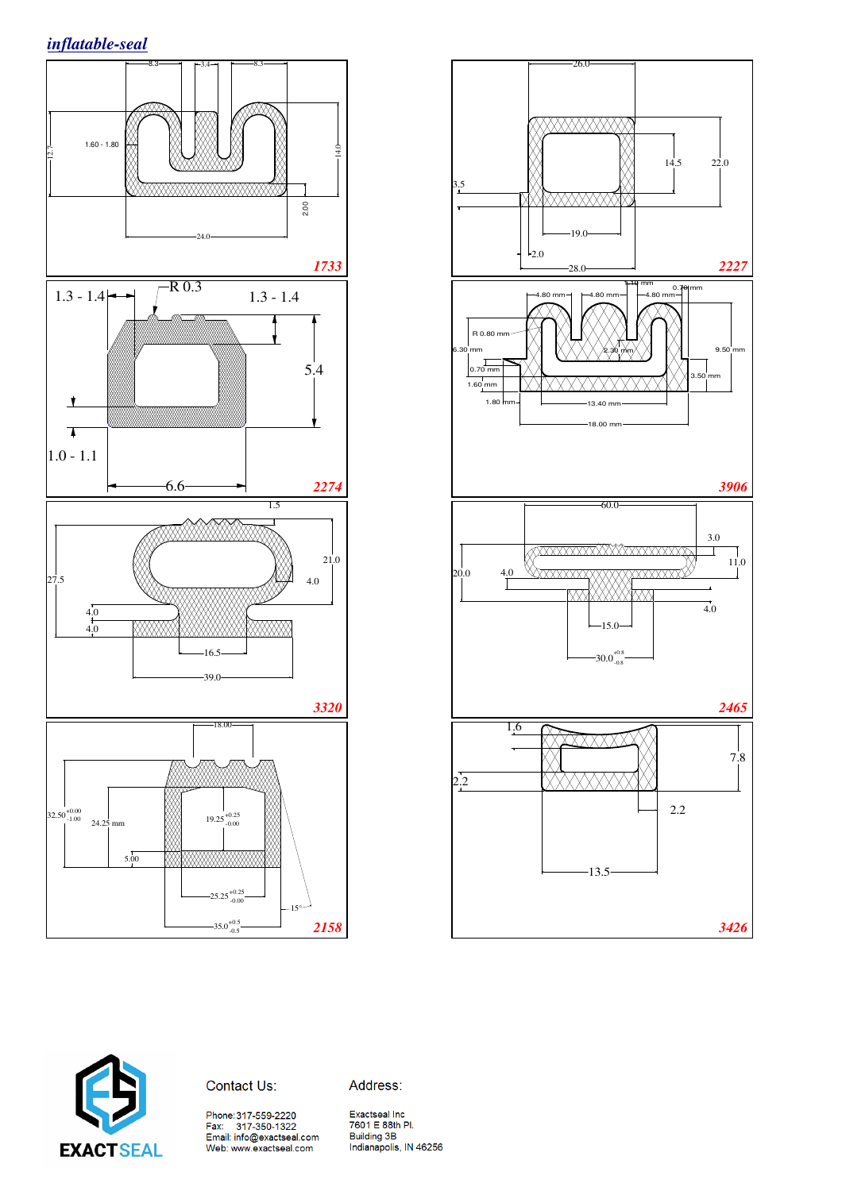





Contact Us:

Address:

Phone:317-559-2220<br>Fax: 317-350-1322<br>Email: info@exactseal.com<br>Web: www.exactseal.com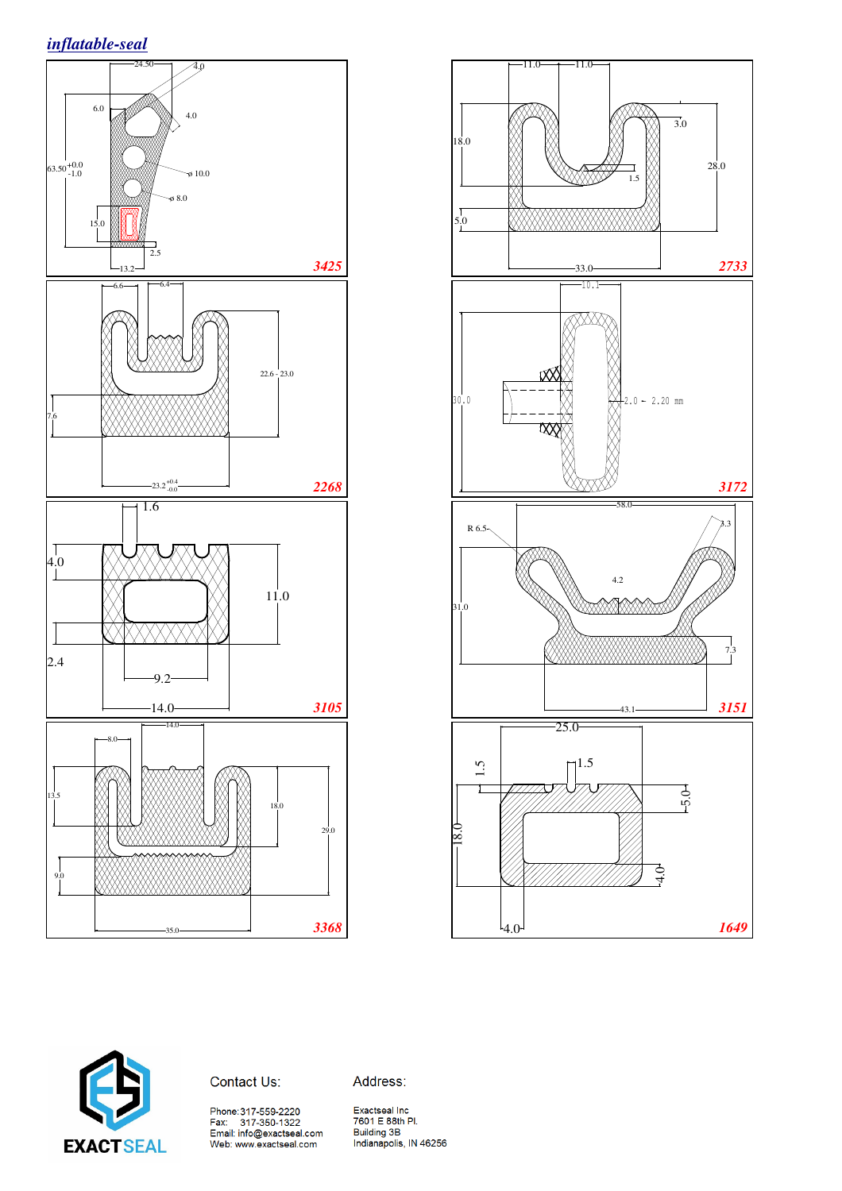*inflatable-seal*







Contact Us:

Address:

Phone:317-559-2220<br>Fax: 317-350-1322<br>Email: info@exactseal.com<br>Web: www.exactseal.com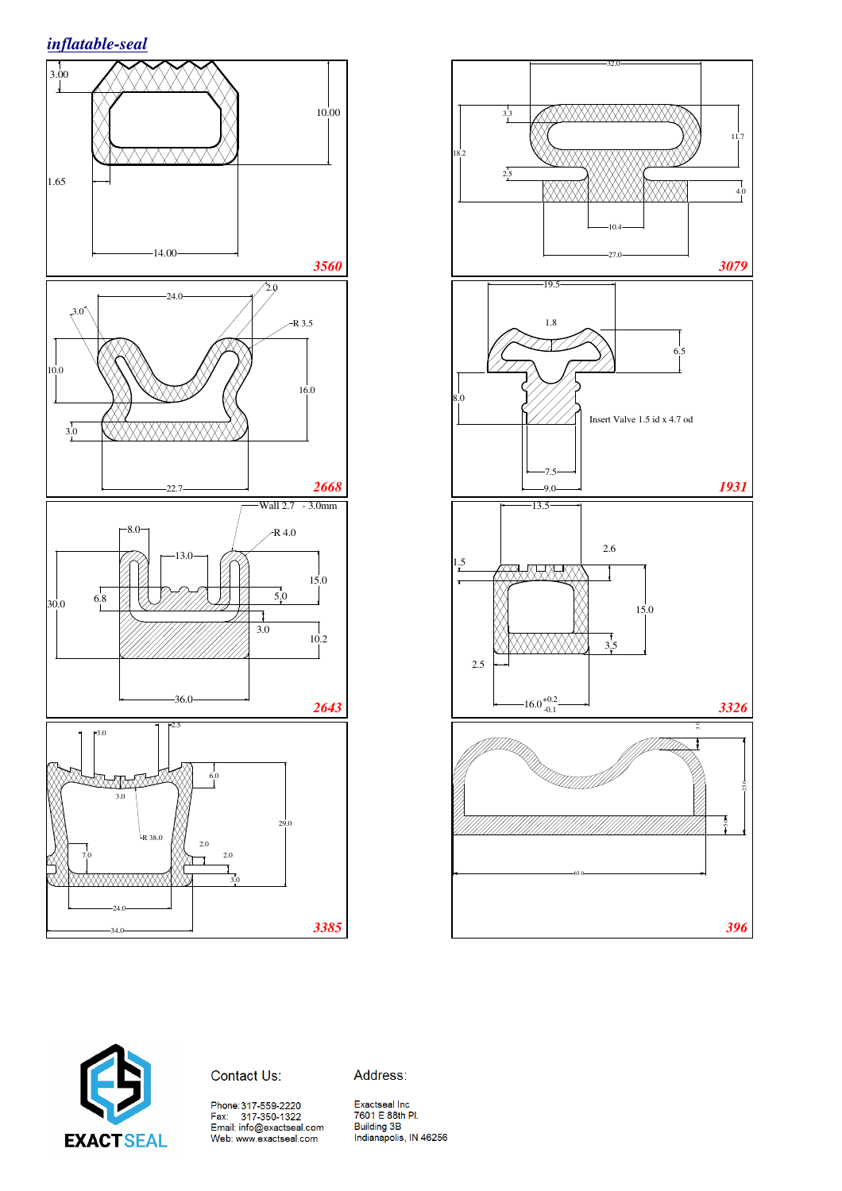





#### Contact Us:

Address: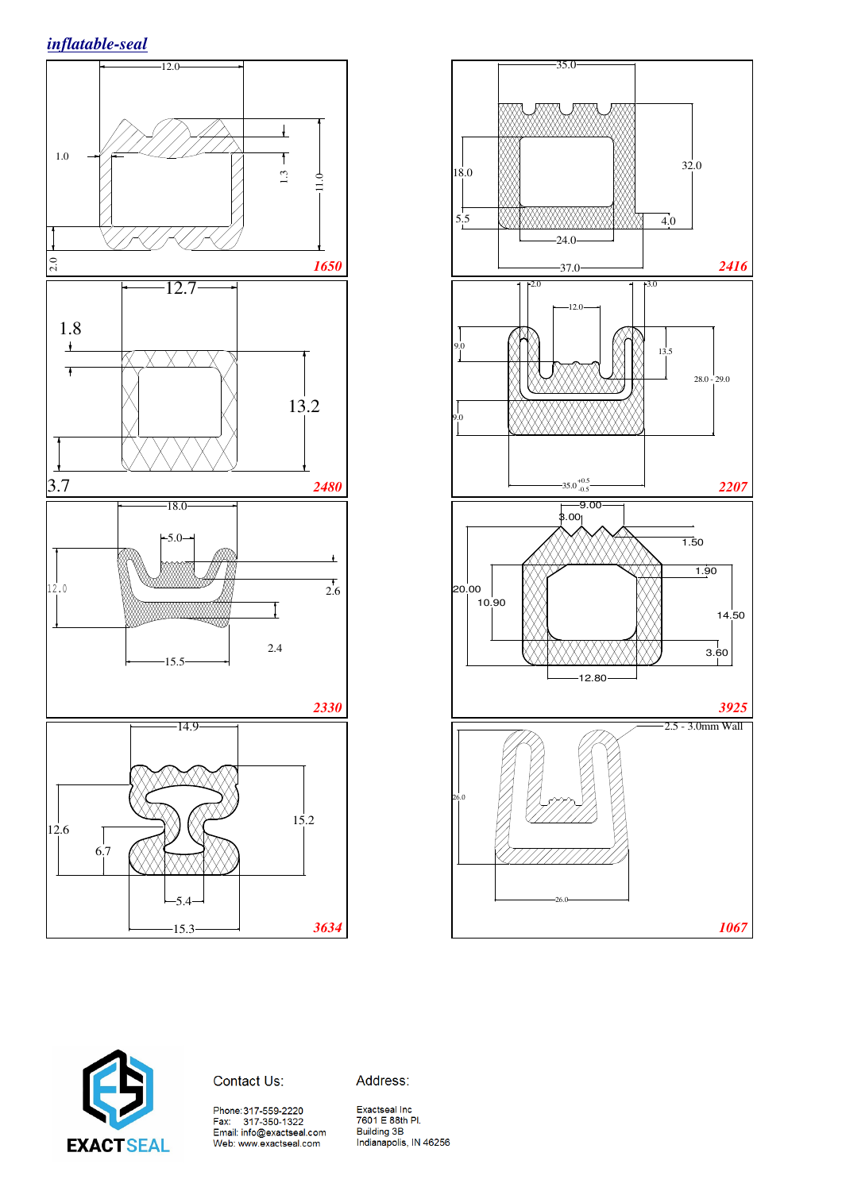





Contact Us:

Address:

Phone:317-559-2220<br>Fax: 317-350-1322<br>Email: info@exactseal.com<br>Web: www.exactseal.com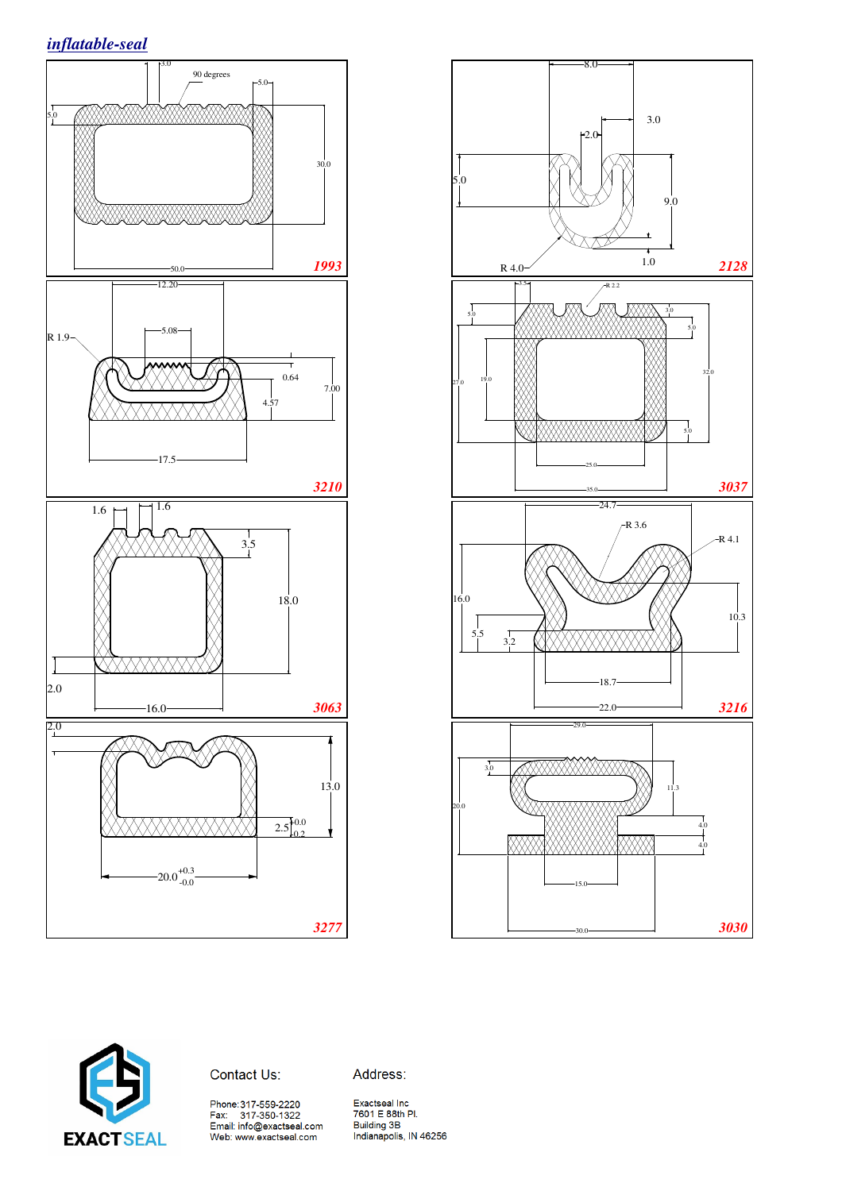





#### Contact Us:

Address: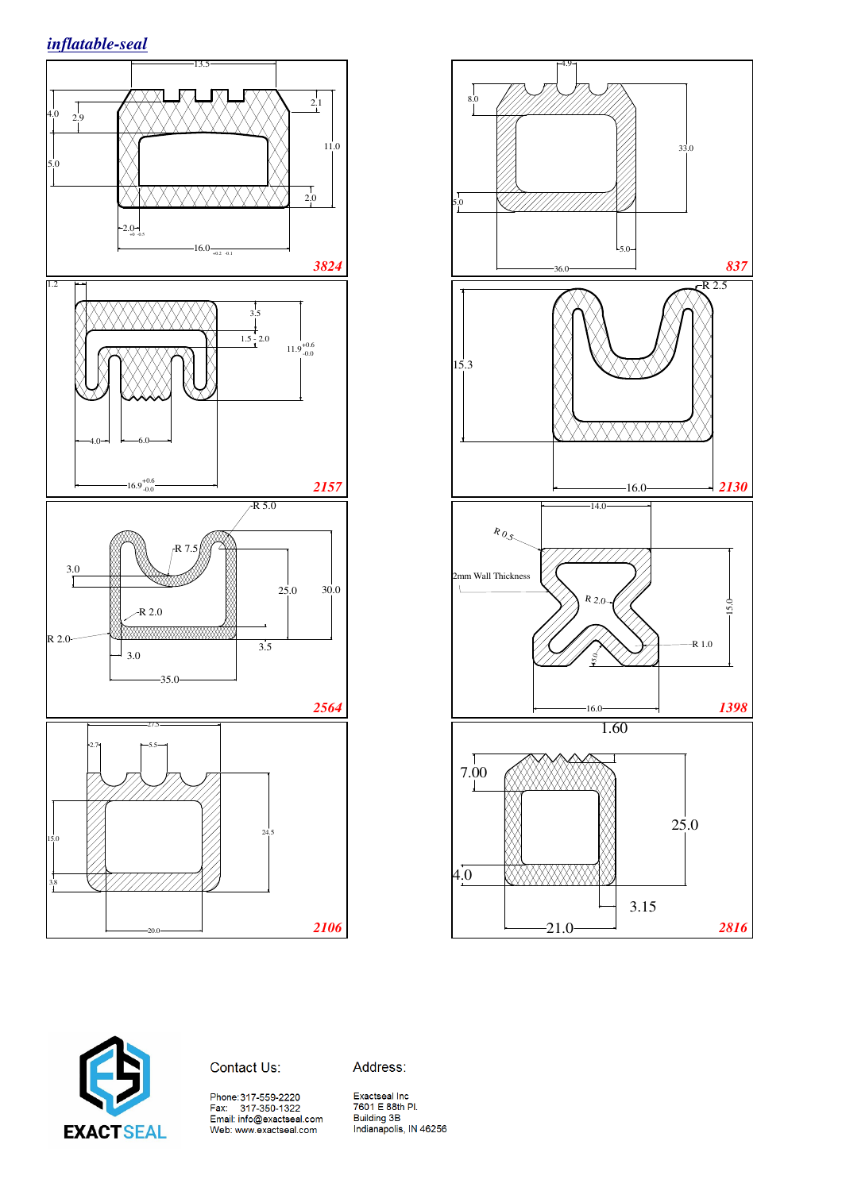





Contact Us:

Address:

Phone: 317-559-2220<br>Fax: 317-350-1322